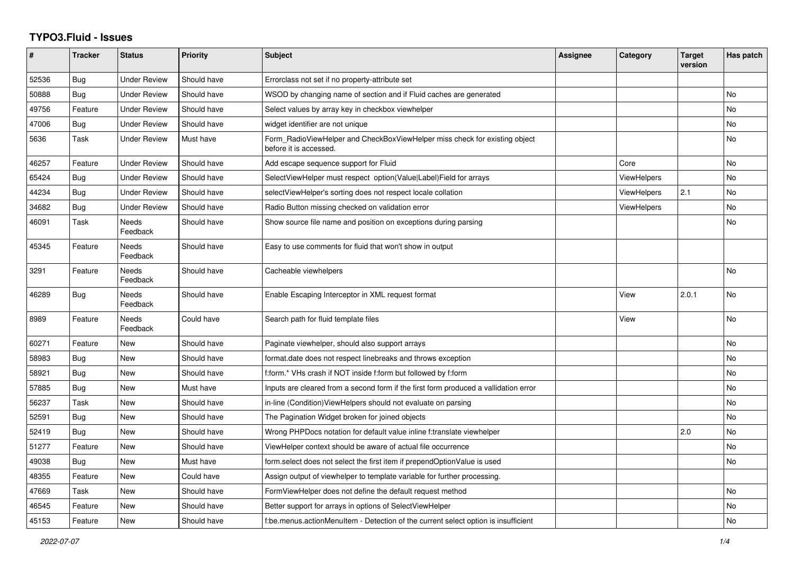## **TYPO3.Fluid - Issues**

| $\#$  | <b>Tracker</b> | <b>Status</b>            | <b>Priority</b> | <b>Subject</b>                                                                                       | Assignee | Category    | <b>Target</b><br>version | Has patch |
|-------|----------------|--------------------------|-----------------|------------------------------------------------------------------------------------------------------|----------|-------------|--------------------------|-----------|
| 52536 | Bug            | Under Review             | Should have     | Errorclass not set if no property-attribute set                                                      |          |             |                          |           |
| 50888 | Bug            | <b>Under Review</b>      | Should have     | WSOD by changing name of section and if Fluid caches are generated                                   |          |             |                          | No        |
| 49756 | Feature        | <b>Under Review</b>      | Should have     | Select values by array key in checkbox viewhelper                                                    |          |             |                          | No        |
| 47006 | Bug            | <b>Under Review</b>      | Should have     | widget identifier are not unique                                                                     |          |             |                          | <b>No</b> |
| 5636  | Task           | <b>Under Review</b>      | Must have       | Form RadioViewHelper and CheckBoxViewHelper miss check for existing object<br>before it is accessed. |          |             |                          | No        |
| 46257 | Feature        | <b>Under Review</b>      | Should have     | Add escape sequence support for Fluid                                                                |          | Core        |                          | No        |
| 65424 | <b>Bug</b>     | <b>Under Review</b>      | Should have     | SelectViewHelper must respect option(Value Label)Field for arrays                                    |          | ViewHelpers |                          | <b>No</b> |
| 44234 | Bug            | <b>Under Review</b>      | Should have     | selectViewHelper's sorting does not respect locale collation                                         |          | ViewHelpers | 2.1                      | <b>No</b> |
| 34682 | Bug            | Under Review             | Should have     | Radio Button missing checked on validation error                                                     |          | ViewHelpers |                          | No        |
| 46091 | Task           | Needs<br>Feedback        | Should have     | Show source file name and position on exceptions during parsing                                      |          |             |                          | <b>No</b> |
| 45345 | Feature        | <b>Needs</b><br>Feedback | Should have     | Easy to use comments for fluid that won't show in output                                             |          |             |                          |           |
| 3291  | Feature        | Needs<br>Feedback        | Should have     | Cacheable viewhelpers                                                                                |          |             |                          | <b>No</b> |
| 46289 | <b>Bug</b>     | Needs<br>Feedback        | Should have     | Enable Escaping Interceptor in XML request format                                                    |          | View        | 2.0.1                    | No        |
| 8989  | Feature        | Needs<br>Feedback        | Could have      | Search path for fluid template files                                                                 |          | View        |                          | <b>No</b> |
| 60271 | Feature        | New                      | Should have     | Paginate viewhelper, should also support arrays                                                      |          |             |                          | No        |
| 58983 | Bug            | New                      | Should have     | format.date does not respect linebreaks and throws exception                                         |          |             |                          | No        |
| 58921 | Bug            | New                      | Should have     | f:form.* VHs crash if NOT inside f:form but followed by f:form                                       |          |             |                          | <b>No</b> |
| 57885 | Bug            | New                      | Must have       | Inputs are cleared from a second form if the first form produced a vallidation error                 |          |             |                          | No        |
| 56237 | Task           | New                      | Should have     | in-line (Condition)ViewHelpers should not evaluate on parsing                                        |          |             |                          | No        |
| 52591 | <b>Bug</b>     | New                      | Should have     | The Pagination Widget broken for joined objects                                                      |          |             |                          | <b>No</b> |
| 52419 | Bug            | New                      | Should have     | Wrong PHPDocs notation for default value inline f:translate viewhelper                               |          |             | 2.0                      | <b>No</b> |
| 51277 | Feature        | New                      | Should have     | ViewHelper context should be aware of actual file occurrence                                         |          |             |                          | No        |
| 49038 | Bug            | New                      | Must have       | form.select does not select the first item if prependOptionValue is used                             |          |             |                          | <b>No</b> |
| 48355 | Feature        | <b>New</b>               | Could have      | Assign output of viewhelper to template variable for further processing.                             |          |             |                          |           |
| 47669 | Task           | New                      | Should have     | FormViewHelper does not define the default request method                                            |          |             |                          | No        |
| 46545 | Feature        | New                      | Should have     | Better support for arrays in options of SelectViewHelper                                             |          |             |                          | No        |
| 45153 | Feature        | <b>New</b>               | Should have     | f:be.menus.actionMenuItem - Detection of the current select option is insufficient                   |          |             |                          | No        |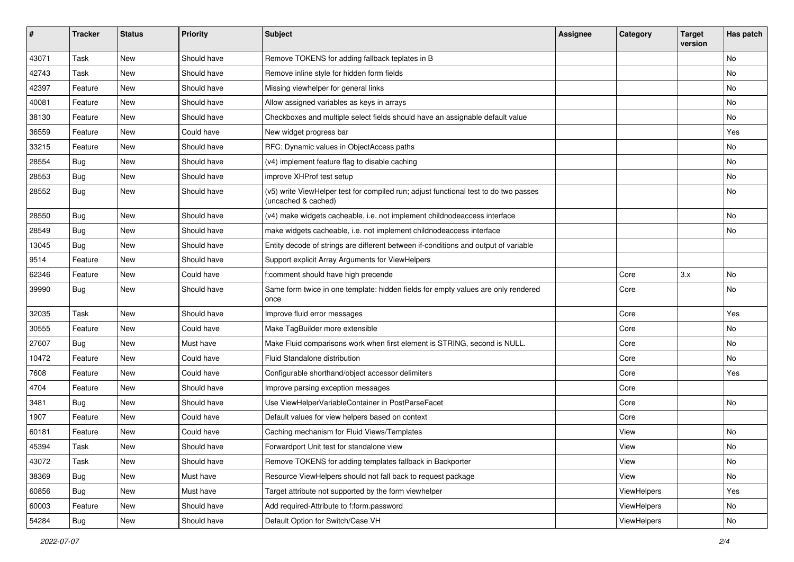| #     | <b>Tracker</b> | <b>Status</b> | <b>Priority</b> | <b>Subject</b>                                                                                              | <b>Assignee</b> | Category    | <b>Target</b><br>version | Has patch |
|-------|----------------|---------------|-----------------|-------------------------------------------------------------------------------------------------------------|-----------------|-------------|--------------------------|-----------|
| 43071 | Task           | New           | Should have     | Remove TOKENS for adding fallback teplates in B                                                             |                 |             |                          | <b>No</b> |
| 42743 | Task           | New           | Should have     | Remove inline style for hidden form fields                                                                  |                 |             |                          | No        |
| 42397 | Feature        | New           | Should have     | Missing viewhelper for general links                                                                        |                 |             |                          | No        |
| 40081 | Feature        | New           | Should have     | Allow assigned variables as keys in arrays                                                                  |                 |             |                          | No        |
| 38130 | Feature        | New           | Should have     | Checkboxes and multiple select fields should have an assignable default value                               |                 |             |                          | No        |
| 36559 | Feature        | New           | Could have      | New widget progress bar                                                                                     |                 |             |                          | Yes       |
| 33215 | Feature        | New           | Should have     | RFC: Dynamic values in ObjectAccess paths                                                                   |                 |             |                          | No        |
| 28554 | Bug            | New           | Should have     | (v4) implement feature flag to disable caching                                                              |                 |             |                          | No        |
| 28553 | Bug            | New           | Should have     | improve XHProf test setup                                                                                   |                 |             |                          | No        |
| 28552 | Bug            | New           | Should have     | (v5) write ViewHelper test for compiled run; adjust functional test to do two passes<br>(uncached & cached) |                 |             |                          | No        |
| 28550 | Bug            | New           | Should have     | (v4) make widgets cacheable, i.e. not implement childnodeaccess interface                                   |                 |             |                          | No        |
| 28549 | Bug            | New           | Should have     | make widgets cacheable, i.e. not implement childnodeaccess interface                                        |                 |             |                          | No        |
| 13045 | Bug            | New           | Should have     | Entity decode of strings are different between if-conditions and output of variable                         |                 |             |                          |           |
| 9514  | Feature        | New           | Should have     | Support explicit Array Arguments for ViewHelpers                                                            |                 |             |                          |           |
| 62346 | Feature        | New           | Could have      | f:comment should have high precende                                                                         |                 | Core        | 3.x                      | No        |
| 39990 | Bug            | New           | Should have     | Same form twice in one template: hidden fields for empty values are only rendered<br>once                   |                 | Core        |                          | No        |
| 32035 | Task           | New           | Should have     | Improve fluid error messages                                                                                |                 | Core        |                          | Yes       |
| 30555 | Feature        | New           | Could have      | Make TagBuilder more extensible                                                                             |                 | Core        |                          | No        |
| 27607 | Bug            | New           | Must have       | Make Fluid comparisons work when first element is STRING, second is NULL.                                   |                 | Core        |                          | No        |
| 10472 | Feature        | New           | Could have      | Fluid Standalone distribution                                                                               |                 | Core        |                          | No        |
| 7608  | Feature        | New           | Could have      | Configurable shorthand/object accessor delimiters                                                           |                 | Core        |                          | Yes       |
| 4704  | Feature        | New           | Should have     | Improve parsing exception messages                                                                          |                 | Core        |                          |           |
| 3481  | Bug            | New           | Should have     | Use ViewHelperVariableContainer in PostParseFacet                                                           |                 | Core        |                          | No        |
| 1907  | Feature        | New           | Could have      | Default values for view helpers based on context                                                            |                 | Core        |                          |           |
| 60181 | Feature        | New           | Could have      | Caching mechanism for Fluid Views/Templates                                                                 |                 | View        |                          | No        |
| 45394 | Task           | New           | Should have     | Forwardport Unit test for standalone view                                                                   |                 | View        |                          | No        |
| 43072 | Task           | New           | Should have     | Remove TOKENS for adding templates fallback in Backporter                                                   |                 | View        |                          | No        |
| 38369 | <b>Bug</b>     | New           | Must have       | Resource ViewHelpers should not fall back to request package                                                |                 | View        |                          | No        |
| 60856 | Bug            | New           | Must have       | Target attribute not supported by the form viewhelper                                                       |                 | ViewHelpers |                          | Yes       |
| 60003 | Feature        | New           | Should have     | Add required-Attribute to f:form.password                                                                   |                 | ViewHelpers |                          | No        |
| 54284 | <b>Bug</b>     | New           | Should have     | Default Option for Switch/Case VH                                                                           |                 | ViewHelpers |                          | No        |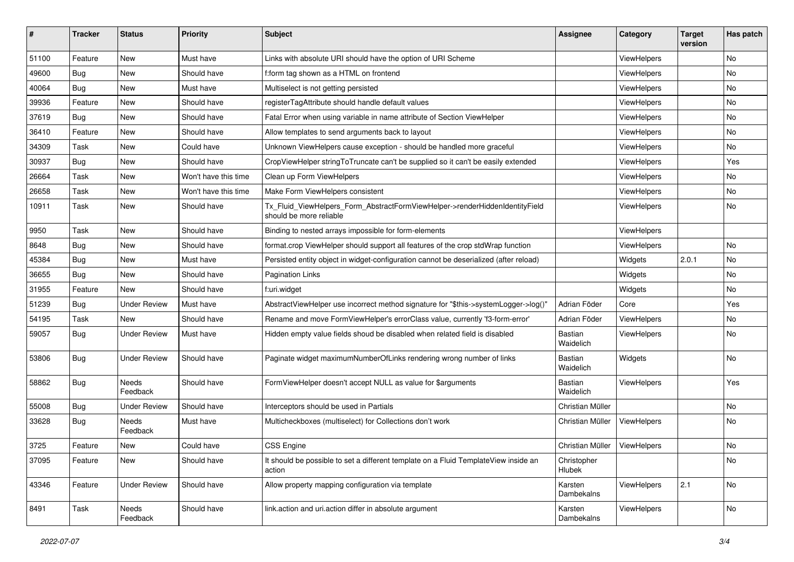| #     | <b>Tracker</b> | <b>Status</b>       | <b>Priority</b>      | Subject                                                                                                | <b>Assignee</b>             | Category    | <b>Target</b><br>version | Has patch |
|-------|----------------|---------------------|----------------------|--------------------------------------------------------------------------------------------------------|-----------------------------|-------------|--------------------------|-----------|
| 51100 | Feature        | New                 | Must have            | Links with absolute URI should have the option of URI Scheme                                           |                             | ViewHelpers |                          | <b>No</b> |
| 49600 | Bug            | New                 | Should have          | f:form tag shown as a HTML on frontend                                                                 |                             | ViewHelpers |                          | No        |
| 40064 | Bug            | New                 | Must have            | Multiselect is not getting persisted                                                                   |                             | ViewHelpers |                          | No        |
| 39936 | Feature        | New                 | Should have          | registerTagAttribute should handle default values                                                      |                             | ViewHelpers |                          | No        |
| 37619 | Bug            | New                 | Should have          | Fatal Error when using variable in name attribute of Section ViewHelper                                |                             | ViewHelpers |                          | No        |
| 36410 | Feature        | New                 | Should have          | Allow templates to send arguments back to layout                                                       |                             | ViewHelpers |                          | No        |
| 34309 | Task           | New                 | Could have           | Unknown ViewHelpers cause exception - should be handled more graceful                                  |                             | ViewHelpers |                          | No        |
| 30937 | Bug            | New                 | Should have          | CropViewHelper stringToTruncate can't be supplied so it can't be easily extended                       |                             | ViewHelpers |                          | Yes       |
| 26664 | Task           | New                 | Won't have this time | Clean up Form ViewHelpers                                                                              |                             | ViewHelpers |                          | No        |
| 26658 | Task           | New                 | Won't have this time | Make Form ViewHelpers consistent                                                                       |                             | ViewHelpers |                          | No        |
| 10911 | Task           | New                 | Should have          | Tx_Fluid_ViewHelpers_Form_AbstractFormViewHelper->renderHiddenIdentityField<br>should be more reliable |                             | ViewHelpers |                          | No        |
| 9950  | Task           | New                 | Should have          | Binding to nested arrays impossible for form-elements                                                  |                             | ViewHelpers |                          |           |
| 8648  | Bug            | New                 | Should have          | format.crop ViewHelper should support all features of the crop stdWrap function                        |                             | ViewHelpers |                          | No        |
| 45384 | Bug            | New                 | Must have            | Persisted entity object in widget-configuration cannot be deserialized (after reload)                  |                             | Widgets     | 2.0.1                    | No        |
| 36655 | Bug            | New                 | Should have          | <b>Pagination Links</b>                                                                                |                             | Widgets     |                          | No        |
| 31955 | Feature        | New                 | Should have          | f:uri.widget                                                                                           |                             | Widgets     |                          | <b>No</b> |
| 51239 | Bug            | <b>Under Review</b> | Must have            | AbstractViewHelper use incorrect method signature for "\$this->systemLogger->log()"                    | Adrian Föder                | Core        |                          | Yes       |
| 54195 | Task           | New                 | Should have          | Rename and move FormViewHelper's errorClass value, currently 'f3-form-error'                           | Adrian Föder                | ViewHelpers |                          | No.       |
| 59057 | Bug            | Under Review        | Must have            | Hidden empty value fields shoud be disabled when related field is disabled                             | <b>Bastian</b><br>Waidelich | ViewHelpers |                          | No        |
| 53806 | Bug            | <b>Under Review</b> | Should have          | Paginate widget maximumNumberOfLinks rendering wrong number of links                                   | <b>Bastian</b><br>Waidelich | Widgets     |                          | No        |
| 58862 | Bug            | Needs<br>Feedback   | Should have          | FormViewHelper doesn't accept NULL as value for \$arguments                                            | Bastian<br>Waidelich        | ViewHelpers |                          | Yes       |
| 55008 | Bug            | <b>Under Review</b> | Should have          | Interceptors should be used in Partials                                                                | Christian Müller            |             |                          | No        |
| 33628 | Bug            | Needs<br>Feedback   | Must have            | Multicheckboxes (multiselect) for Collections don't work                                               | Christian Müller            | ViewHelpers |                          | No        |
| 3725  | Feature        | New                 | Could have           | <b>CSS Engine</b>                                                                                      | Christian Müller            | ViewHelpers |                          | No        |
| 37095 | Feature        | New                 | Should have          | It should be possible to set a different template on a Fluid TemplateView inside an<br>action          | Christopher<br>Hlubek       |             |                          | No        |
| 43346 | Feature        | <b>Under Review</b> | Should have          | Allow property mapping configuration via template                                                      | Karsten<br>Dambekalns       | ViewHelpers | 2.1                      | No        |
| 8491  | Task           | Needs<br>Feedback   | Should have          | link.action and uri.action differ in absolute argument                                                 | Karsten<br>Dambekalns       | ViewHelpers |                          | No        |